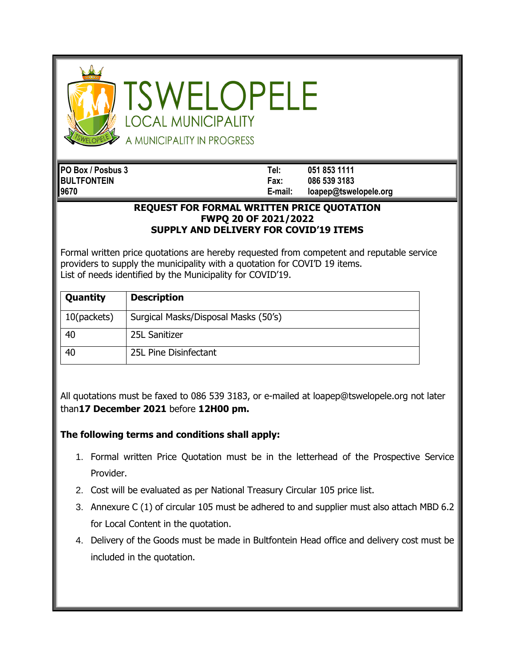

SWELOPELE **OCAL MUNICIPALITY** A MUNICIPALITY IN PROGRESS

**PO Box / Posbus 3 Tel: 051 853 1111 BULTFONTEIN Fax: 086 539 3183 9670 E-mail: loapep@tswelopele.org**

## **REQUEST FOR FORMAL WRITTEN PRICE QUOTATION FWPQ 20 OF 2021/2022 SUPPLY AND DELIVERY FOR COVID'19 ITEMS**

Formal written price quotations are hereby requested from competent and reputable service providers to supply the municipality with a quotation for COVI'D 19 items. List of needs identified by the Municipality for COVID'19.

| Quantity    | <b>Description</b>                   |
|-------------|--------------------------------------|
| 10(packets) | Surgical Masks/Disposal Masks (50's) |
| 40          | 25L Sanitizer                        |
| 40          | 25L Pine Disinfectant                |

All quotations must be faxed to 086 539 3183, or e-mailed at loapep@tswelopele.org not later than**17 December 2021** before **12H00 pm.**

## **The following terms and conditions shall apply:**

- 1. Formal written Price Quotation must be in the letterhead of the Prospective Service Provider.
- 2. Cost will be evaluated as per National Treasury Circular 105 price list.
- 3. Annexure C (1) of circular 105 must be adhered to and supplier must also attach MBD 6.2 for Local Content in the quotation.
- 4. Delivery of the Goods must be made in Bultfontein Head office and delivery cost must be included in the quotation.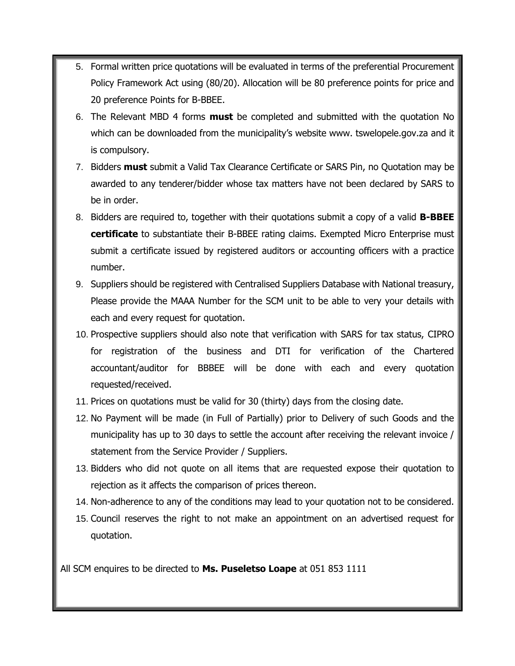- 5. Formal written price quotations will be evaluated in terms of the preferential Procurement Policy Framework Act using (80/20). Allocation will be 80 preference points for price and 20 preference Points for B-BBEE.
- 6. The Relevant MBD 4 forms **must** be completed and submitted with the quotation No which can be downloaded from the municipality's website www. tswelopele.gov.za and it is compulsory.
- 7. Bidders **must** submit a Valid Tax Clearance Certificate or SARS Pin, no Quotation may be awarded to any tenderer/bidder whose tax matters have not been declared by SARS to be in order.
- 8. Bidders are required to, together with their quotations submit a copy of a valid **B-BBEE certificate** to substantiate their B-BBEE rating claims. Exempted Micro Enterprise must submit a certificate issued by registered auditors or accounting officers with a practice number.
- 9. Suppliers should be registered with Centralised Suppliers Database with National treasury, Please provide the MAAA Number for the SCM unit to be able to very your details with each and every request for quotation.
- 10. Prospective suppliers should also note that verification with SARS for tax status, CIPRO for registration of the business and DTI for verification of the Chartered accountant/auditor for BBBEE will be done with each and every quotation requested/received.
- 11. Prices on quotations must be valid for 30 (thirty) days from the closing date.
- 12. No Payment will be made (in Full of Partially) prior to Delivery of such Goods and the municipality has up to 30 days to settle the account after receiving the relevant invoice / statement from the Service Provider / Suppliers.
- 13. Bidders who did not quote on all items that are requested expose their quotation to rejection as it affects the comparison of prices thereon.
- 14. Non-adherence to any of the conditions may lead to your quotation not to be considered.
- 15. Council reserves the right to not make an appointment on an advertised request for quotation.

All SCM enquires to be directed to **Ms. Puseletso Loape** at 051 853 1111